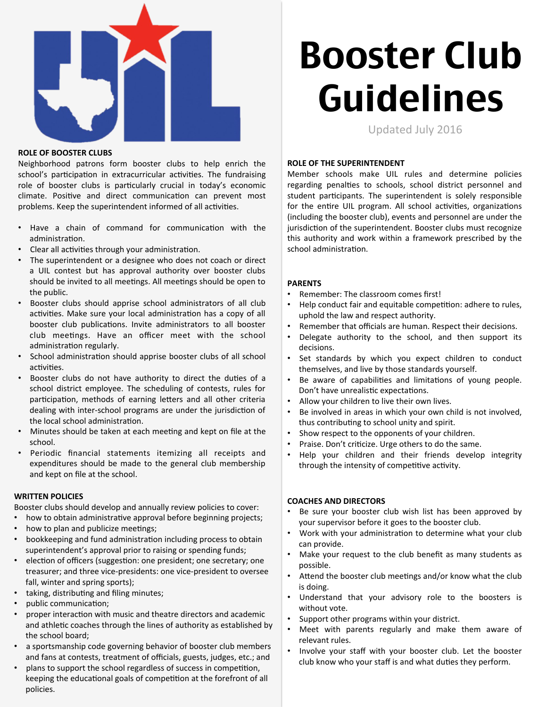

#### **ROLE OF BOOSTER CLUBS**

Neighborhood patrons form booster clubs to help enrich the school's participation in extracurricular activities. The fundraising role of booster clubs is particularly crucial in today's economic climate. Positive and direct communication can prevent most problems. Keep the superintendent informed of all activities.

- Have a chain of command for communication with the administration.
- Clear all activities through your administration.
- The superintendent or a designee who does not coach or direct a UIL contest but has approval authority over booster clubs should be invited to all meetings. All meetings should be open to the public.
- Booster clubs should apprise school administrators of all club activities. Make sure your local administration has a copy of all booster club publications. Invite administrators to all booster club meetings. Have an officer meet with the school administration regularly.
- School administration should apprise booster clubs of all school activities.
- Booster clubs do not have authority to direct the duties of a school district employee. The scheduling of contests, rules for participation, methods of earning letters and all other criteria dealing with inter-school programs are under the jurisdiction of the local school administration.
- Minutes should be taken at each meeting and kept on file at the school.
- Periodic financial statements itemizing all receipts and expenditures should be made to the general club membership and kept on file at the school.

## **WRITTEN POLICIES**

Booster clubs should develop and annually review policies to cover:

- how to obtain administrative approval before beginning projects;
- how to plan and publicize meetings;
- bookkeeping and fund administration including process to obtain superintendent's approval prior to raising or spending funds;
- election of officers (suggestion: one president; one secretary; one treasurer; and three vice-presidents: one vice-president to oversee fall, winter and spring sports);
- taking, distributing and filing minutes;
- public communication;
- proper interaction with music and theatre directors and academic and athletic coaches through the lines of authority as established by the school board;
- a sportsmanship code governing behavior of booster club members and fans at contests, treatment of officials, guests, judges, etc.; and
- plans to support the school regardless of success in competition, keeping the educational goals of competition at the forefront of all policies.

# Booster Club Guidelines

Updated July 2016

## **ROLE OF THE SUPERINTENDENT**

Member schools make UIL rules and determine policies regarding penalties to schools, school district personnel and student participants. The superintendent is solely responsible for the entire UIL program. All school activities, organizations (including the booster club), events and personnel are under the jurisdiction of the superintendent. Booster clubs must recognize this authority and work within a framework prescribed by the school administration.

## **PARENTS**

- Remember: The classroom comes first!
- Help conduct fair and equitable competition: adhere to rules, uphold the law and respect authority.
- Remember that officials are human. Respect their decisions.
- Delegate authority to the school, and then support its decisions.
- Set standards by which you expect children to conduct themselves, and live by those standards yourself.
- Be aware of capabilities and limitations of young people. Don't have unrealistic expectations.
- Allow your children to live their own lives.
- Be involved in areas in which your own child is not involved, thus contributing to school unity and spirit.
- Show respect to the opponents of your children.
- Praise. Don't criticize. Urge others to do the same.
- Help your children and their friends develop integrity through the intensity of competitive activity.

## **COACHES AND DIRECTORS**

- Be sure your booster club wish list has been approved by your supervisor before it goes to the booster club.
- Work with your administration to determine what your club can provide.
- Make your request to the club benefit as many students as possible.
- Attend the booster club meetings and/or know what the club is doing.
- Understand that your advisory role to the boosters is without vote.
- Support other programs within your district.
- Meet with parents regularly and make them aware of relevant rules.
- Involve your staff with your booster club. Let the booster club know who your staff is and what duties they perform.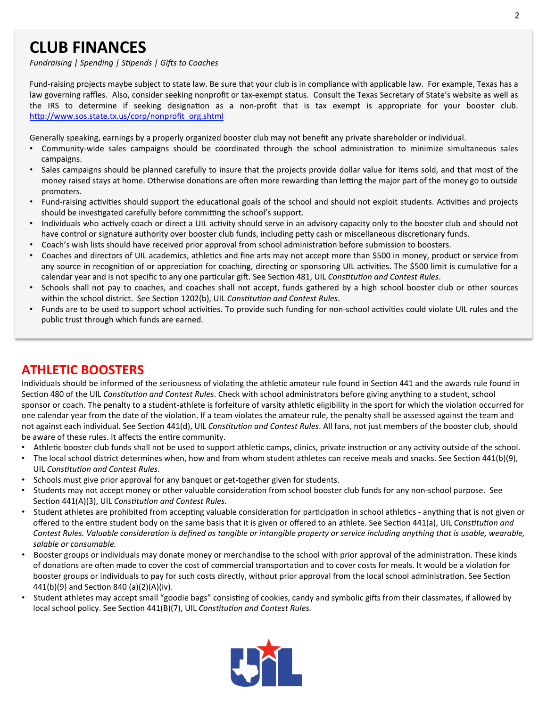# **CLUB FINANCES**

*Fundraising* | Spending | Stipends | Gifts to Coaches

Fund-raising projects maybe subject to state law. Be sure that your club is in compliance with applicable law. For example, Texas has a law governing raffles. Also, consider seeking nonprofit or tax-exempt status. Consult the Texas Secretary of State's website as well as the IRS to determine if seeking designation as a non-profit that is tax exempt is appropriate for your booster club. http://www.sos.state.tx.us/corp/nonprofit\_org.shtml

Generally speaking, earnings by a properly organized booster club may not benefit any private shareholder or individual.

- Community-wide sales campaigns should be coordinated through the school administration to minimize simultaneous sales campaigns.
- Sales campaigns should be planned carefully to insure that the projects provide dollar value for items sold, and that most of the money raised stays at home. Otherwise donations are often more rewarding than letting the major part of the money go to outside promoters.
- Fund-raising activities should support the educational goals of the school and should not exploit students. Activities and projects should be investigated carefully before committing the school's support.
- Individuals who actively coach or direct a UIL activity should serve in an advisory capacity only to the booster club and should not have control or signature authority over booster club funds, including petty cash or miscellaneous discretionary funds.
- Coach's wish lists should have received prior approval from school administration before submission to boosters.
- Coaches and directors of UIL academics, athletics and fine arts may not accept more than \$500 in money, product or service from any source in recognition of or appreciation for coaching, directing or sponsoring UIL activities. The \$500 limit is cumulative for a calendar year and is not specific to any one particular gift. See Section 481, UIL Constitution and Contest Rules.
- Schools shall not pay to coaches, and coaches shall not accept, funds gathered by a high school booster club or other sources within the school district. See Section 1202(b), UIL Constitution and Contest Rules.
- Funds are to be used to support school activities. To provide such funding for non-school activities could violate UIL rules and the public trust through which funds are earned.

# **ATHLETIC BOOSTERS**

Individuals should be informed of the seriousness of violating the athletic amateur rule found in Section 441 and the awards rule found in Section 480 of the UIL Constitution and Contest Rules. Check with school administrators before giving anything to a student, school sponsor or coach. The penalty to a student-athlete is forfeiture of varsity athletic eligibility in the sport for which the violation occurred for one calendar year from the date of the violation. If a team violates the amateur rule, the penalty shall be assessed against the team and not against each individual. See Section 441(d), UIL Constitution and Contest Rules. All fans, not just members of the booster club, should be aware of these rules. It affects the entire community.

- Athletic booster club funds shall not be used to support athletic camps, clinics, private instruction or any activity outside of the school.
- The local school district determines when, how and from whom student athletes can receive meals and snacks. See Section 441(b)(9), UIL Constitution and Contest Rules.
- Schools must give prior approval for any banquet or get-together given for students.
- Students may not accept money or other valuable consideration from school booster club funds for any non-school purpose. See Section 441(A)(3), UIL Constitution and Contest Rules.
- Student athletes are prohibited from accepting valuable consideration for participation in school athletics anything that is not given or offered to the entire student body on the same basis that it is given or offered to an athlete. See Section 441(a), UIL Constitution and Contest Rules. Valuable consideration is defined as tangible or intangible property or service including anything that is usable, wearable, salable or consumable.
- Booster groups or individuals may donate money or merchandise to the school with prior approval of the administration. These kinds of donations are often made to cover the cost of commercial transportation and to cover costs for meals. It would be a violation for booster groups or individuals to pay for such costs directly, without prior approval from the local school administration. See Section 441(b)(9) and Section 840 (a)(2)(A)(iv).
- Student athletes may accept small "goodie bags" consisting of cookies, candy and symbolic gifts from their classmates, if allowed by local school policy. See Section 441(B)(7), UIL Constitution and Contest Rules.